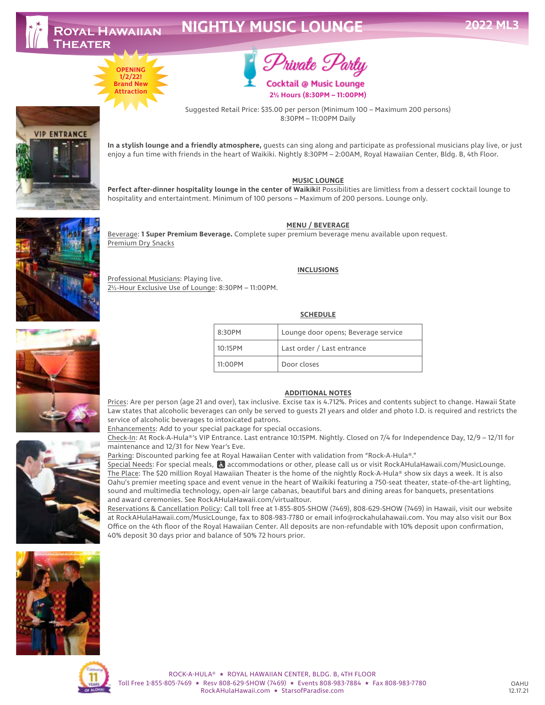**VIP ENTRANCE** 

# **NIGHTLY MUSIC LOUNGE**





**2½ Hours (8:30PM – 11:00PM)**

Suggested Retail Price: \$35.00 per person (Minimum 100 – Maximum 200 persons) 8:30PM – 11:00PM Daily

**In a stylish lounge and a friendly atmosphere,** guests can sing along and participate as professional musicians play live, or just enjoy a fun time with friends in the heart of Waikiki. Nightly 8:30PM – 2:00AM, Royal Hawaiian Center, Bldg. B, 4th Floor.

#### **MUSIC LOUNGE**

**Perfect after-dinner hospitality lounge in the center of Waikiki!** Possibilities are limitless from a dessert cocktail lounge to hospitality and entertaintment. Minimum of 100 persons – Maximum of 200 persons. Lounge only.



**MENU / BEVERAGE**

Beverage: **1 Super Premium Beverage.** Complete super premium beverage menu available upon request. Premium Dry Snacks

Professional Musicians: Playing live. 2½-Hour Exclusive Use of Lounge: 8:30PM – 11:00PM.

**INCLUSIONS**

#### **SCHEDULE**

| 8:30PM  | Lounge door opens; Beverage service |
|---------|-------------------------------------|
| 10:15PM | Last order / Last entrance          |
| 11:00PM | Door closes                         |

#### **ADDITIONAL NOTES**

Prices: Are per person (age 21 and over), tax inclusive. Excise tax is 4.712%. Prices and contents subject to change. Hawaii State Law states that alcoholic beverages can only be served to guests 21 years and older and photo I.D. is required and restricts the service of alcoholic beverages to intoxicated patrons.

Enhancements: Add to your special package for special occasions.

Check-In: At Rock-A-Hula®'s VIP Entrance. Last entrance 10:15PM. Nightly. Closed on 7/4 for Independence Day, 12/9 – 12/11 for maintenance and 12/31 for New Year's Eve.

Parking: Discounted parking fee at Royal Hawaiian Center with validation from "Rock-A-Hula®."

Special Needs: For special meals, accommodations or other, please call us or visit RockAHulaHawaii.com/MusicLounge. The Place: The \$20 million Royal Hawaiian Theater is the home of the nightly Rock-A-Hula® show six days a week. It is also Oahu's premier meeting space and event venue in the heart of Waikiki featuring a 750-seat theater, state-of-the-art lighting, sound and multimedia technology, open-air large cabanas, beautiful bars and dining areas for banquets, presentations and award ceremonies. See RockAHulaHawaii.com/virtualtour.

Reservations & Cancellation Policy: Call toll free at 1-855-805-SHOW (7469), 808-629-SHOW (7469) in Hawaii, visit our website at RockAHulaHawaii.com/MusicLounge, fax to 808-983-7780 or email info@rockahulahawaii.com. You may also visit our Box Office on the 4th floor of the Royal Hawaiian Center. All deposits are non-refundable with 10% deposit upon confirmation, 40% deposit 30 days prior and balance of 50% 72 hours prior.